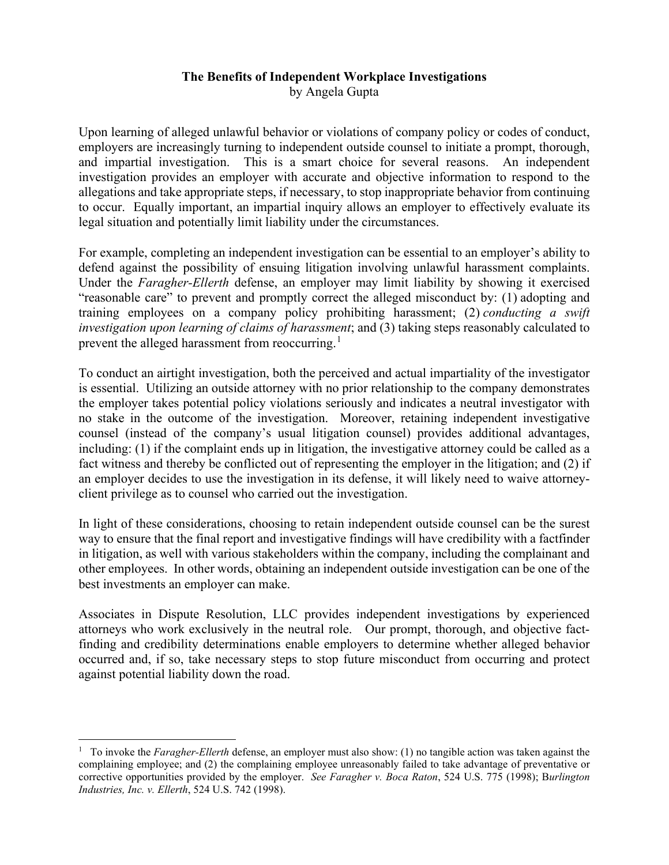## **The Benefits of Independent Workplace Investigations**  by Angela Gupta

Upon learning of alleged unlawful behavior or violations of company policy or codes of conduct, employers are increasingly turning to independent outside counsel to initiate a prompt, thorough, and impartial investigation. This is a smart choice for several reasons. An independent investigation provides an employer with accurate and objective information to respond to the allegations and take appropriate steps, if necessary, to stop inappropriate behavior from continuing to occur. Equally important, an impartial inquiry allows an employer to effectively evaluate its legal situation and potentially limit liability under the circumstances.

For example, completing an independent investigation can be essential to an employer's ability to defend against the possibility of ensuing litigation involving unlawful harassment complaints. Under the *Faragher-Ellerth* defense, an employer may limit liability by showing it exercised "reasonable care" to prevent and promptly correct the alleged misconduct by: (1) adopting and training employees on a company policy prohibiting harassment; (2) *conducting a swift investigation upon learning of claims of harassment*; and (3) taking steps reasonably calculated to prevent the alleged harassment from reoccurring.<sup>[1](#page-0-0)</sup>

To conduct an airtight investigation, both the perceived and actual impartiality of the investigator is essential. Utilizing an outside attorney with no prior relationship to the company demonstrates the employer takes potential policy violations seriously and indicates a neutral investigator with no stake in the outcome of the investigation. Moreover, retaining independent investigative counsel (instead of the company's usual litigation counsel) provides additional advantages, including: (1) if the complaint ends up in litigation, the investigative attorney could be called as a fact witness and thereby be conflicted out of representing the employer in the litigation; and (2) if an employer decides to use the investigation in its defense, it will likely need to waive attorneyclient privilege as to counsel who carried out the investigation.

In light of these considerations, choosing to retain independent outside counsel can be the surest way to ensure that the final report and investigative findings will have credibility with a factfinder in litigation, as well with various stakeholders within the company, including the complainant and other employees. In other words, obtaining an independent outside investigation can be one of the best investments an employer can make.

Associates in Dispute Resolution, LLC provides independent investigations by experienced attorneys who work exclusively in the neutral role. Our prompt, thorough, and objective factfinding and credibility determinations enable employers to determine whether alleged behavior occurred and, if so, take necessary steps to stop future misconduct from occurring and protect against potential liability down the road.

<span id="page-0-0"></span><sup>&</sup>lt;sup>1</sup> To invoke the *Faragher-Ellerth* defense, an employer must also show: (1) no tangible action was taken against the complaining employee; and (2) the complaining employee unreasonably failed to take advantage of preventative or corrective opportunities provided by the employer. *See Faragher v. Boca Raton*, 524 U.S. 775 (1998); B*urlington Industries, Inc. v. Ellerth*, 524 U.S. 742 (1998).